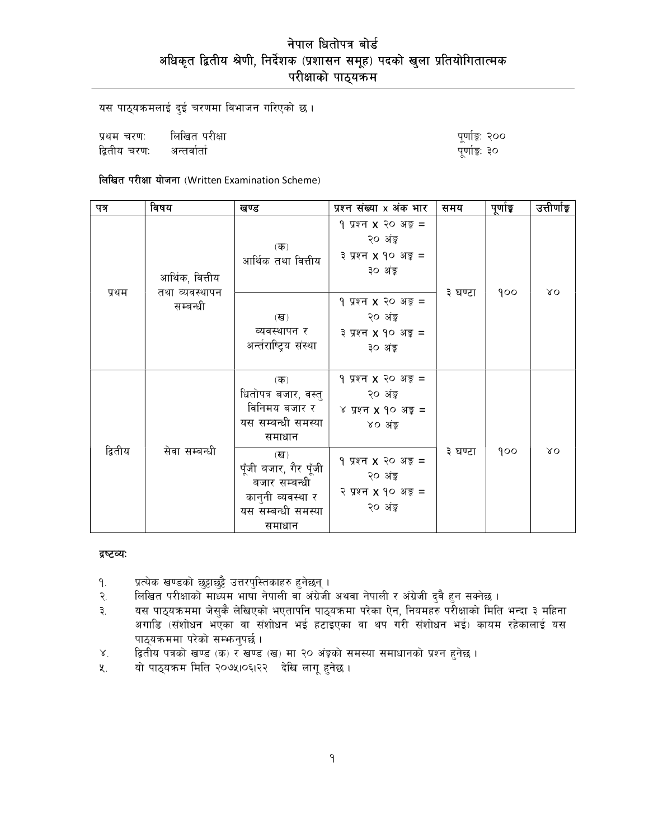यस पाठ्यक्रमलाई दुई चरणमा विभाजन गरिएको छ।

प्रथम चरण: लिखित परीक्षा द्वितीय चरण: अन्तर्वार्ता

पूर्णाङ्क: २०० पूर्णाङ्क: ३०

लिखित परीक्षा योजना (Written Examination Scheme)

| पत्र    | विषय                                          | खण्ड                                                                                               | प्रश्न संख्या x अंक भार                                                            | समय     | पूर्णाङ्क | उत्तीर्णाङ्क |
|---------|-----------------------------------------------|----------------------------------------------------------------------------------------------------|------------------------------------------------------------------------------------|---------|-----------|--------------|
| प्रथम   | आर्थिक, वित्तीय<br>तथा व्यवस्थापन<br>सम्बन्धी | $(\overline{\mathbf{q}})$<br>आर्थिक तथा वित्तीय                                                    | 9 प्रश्न <b>x</b> २० अङ़ =<br>२० अंडू<br>३ प्रश्न <b>x</b> १० अङ्क =<br>३० अंङ्क   | ३ घण्टा | qoo       | λO           |
|         |                                               | $(\overline{d})$<br>व्यवस्थापन र<br>अर्न्तराष्ट्रिय संस्था                                         | 9 प्रश्न $x$ २० अङ्ग =<br>२० अंडू<br>३ प्रश्न <b>x</b> १० अङ्क =<br>३० अंङ्क       |         |           |              |
| द्वितीय | सेवा सम्बन्धी                                 | $(\overline{d}$<br>धितोपत्र बजार, वस्तु<br>विनिमय बजार र<br>यस सम्बन्धी समस्या<br>समाधान           | 9 प्रश्न <b>x</b> २० अङ्क =<br>२० अंङ्क<br>४ प्रश्न $x$ १० अङ्क $=$<br>४० अंड्रु   | ३ घण्टा | qoo       | λO           |
|         |                                               | (ख)<br>पूँजी बजार, गैर पूँजी<br>बजार सम्बन्धी<br>कानुनी व्यवस्था र<br>यस सम्बन्धी समस्या<br>समाधान | 9 प्रश्न <b>x</b> २० अङ्क =<br>२० अंङ्क<br>२ प्रश्न <b>x</b> १० अङ्ग =<br>२० अंङ्क |         |           |              |

#### द्रष्टव्यः

- प्रत्येक खण्डको छुट्टाछुट्टै उत्तरपुस्तिकाहरु हुनेछन् ।  $9.$
- लिखित परीक्षाको माध्यम भाषा नेपाली वा अंग्रेजी अथवा नेपाली र अंग्रेजी दुवै हुन सक्नेछ । २.
- यस पाठ्यक्रममा जेसुकै लेखिएको भएतापनि पाठ्यक्रमा परेका ऐन, नियमहरु परीक्षाको मिति भन्दा ३ महिना ३. अगाडि (संशोधन भएका वा संशोधन भई हटाइएका वा थप गरी संशोधन भई) कायम रहेकालाई यस पाठ्यक्रममा परेको सम्फनुपर्छ।
- द्वितीय पत्रको खण्ड (क) र खण्ड (ख) मा २० अंङ्रको समस्या समाधानको प्रश्न हुनेछ ।  $X^{\dagger}$
- यो पाठ्यक्रम मिति २०७५।०६।२२ देखि लागू हुनेछ । ५.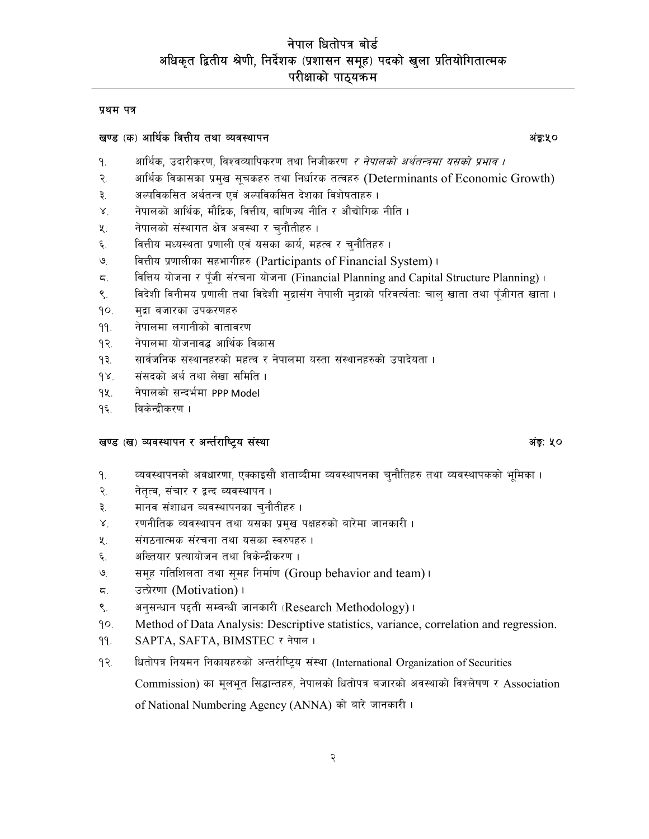#### प्रथम पत्र

#### खण्ड (क) आर्थिक वित्तीय तथा व्यवस्थापन

- आर्थिक, उदारीकरण, विश्वव्यापिकरण तथा निजीकरण *र नेपालको अर्थतन्त्रमा यसको प्रभाव ।* ۹.
- २. आर्थिक विकासका प्रमुख सूचकहरु तथा निर्धारक तत्वहरु (Determinants of Economic Growth)
- अल्पविकसित अर्थतन्त्र एवं अल्पविकसित देशका विशेषताहरु। ३.
- नेपालको आर्थिक, मौद्रिक, वित्तीय, बाणिज्य नीति र औद्योगिक नीति ।  $\lambda^{\circ}$
- नेपालको संस्थागत क्षेत्र अवस्था र चुनौतीहरु। 义.
- ६. वित्तीय मध्यस्थता प्रणाली एवं यसका कार्य, महत्व र चुनौतिहरु।
- वित्तीय प्रणालीका सहभागीहरु (Participants of Financial System)।  $\mathcal{G}_{\mathcal{C}}$
- वित्तिय योजना र पूँजी संरचना योजना (Financial Planning and Capital Structure Planning)। ζ.
- ९. विदेशी विनीमय प्रणाली तथा विदेशी मुद्रासँग नेपाली मुद्राको परिवर्त्यता: चाल् खाता तथा पूँजीगत खाता ।
- $90.$ मद्रा बजारका उपकरणहरु
- नेपालमा लगानीको वातावरण  $99.$
- नेपालमा योजनावद्ध आर्थिक विकास  $92.$
- सार्वजनिक संस्थानहरुको महत्व र नेपालमा यस्ता संस्थानहरुको उपादेयता ।  $93.$
- संसदको अर्थ तथा लेखा समिति ।  $98.$
- नेपालको सन्दर्भमा PPP Model 92.
- विकेन्द्रीकरण ।  $9\xi$ .

#### खण्ड (ख) व्यवस्थापन र अर्न्तराष्ट्रिय संस्था

- व्यवस्थापनको अवधारणा, एक्काइसौं शताव्दीमा व्यवस्थापनका चुनौतिहरु तथा व्यवस्थापकको भूमिका ।  $9.$
- नेतत्व, संचार र द्वन्द व्यवस्थापन। २.
- मानव संशाधन व्यवस्थापनका चुनौतीहरु । ३.
- रणनीतिक व्यवस्थापन तथा यसका प्रमुख पक्षहरुको बारेमा जानकारी ।  $\mathbf{X}$
- $\lambda$ . संगठनात्मक संरचना तथा यसका स्वरुपहरु ।
- अख्तियार प्रत्यायोजन तथा विकेन्द्रीकरण । ६.
- समूह गतिशिलता तथा सुमह निर्माण (Group behavior and team)। ৩
- उत्प्रेरणा (Motivation)।  $5.$
- अनसन्धान पहती सम्बन्धी जानकारी (Research Methodology)।  $\mathcal{S}_{\mathcal{A}}$
- $90.$ Method of Data Analysis: Descriptive statistics, variance, correlation and regression.
- SAPTA, SAFTA, BIMSTEC र नेपाल।  $99.$
- धितोपत्र नियमन निकायहरुको अन्तर्राष्ट्रिय संस्था (International Organization of Securities  $93.$ Commission) का मुलभूत सिद्धान्तहरु, नेपालको धितोपत्र बजारको अवस्थाको विश्लेषण र Association of National Numbering Agency (ANNA) को बारे जानकारी।

# अंड: ५०

अंड:५०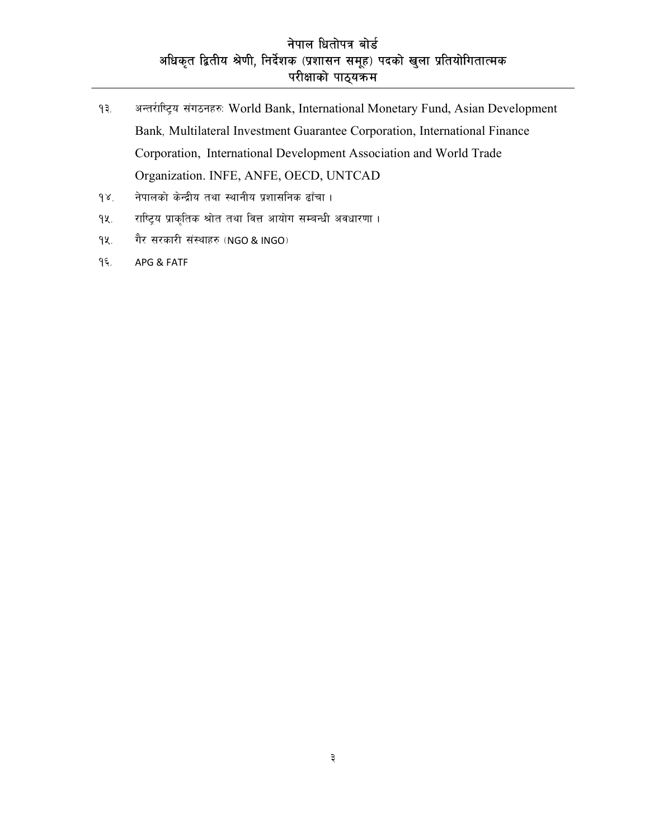- $93.$ अन्तरीष्ट्रिय संगठनहरु: World Bank, International Monetary Fund, Asian Development Bank, Multilateral Investment Guarantee Corporation, International Finance Corporation, International Development Association and World Trade Organization. INFE, ANFE, OECD, UNTCAD
- नेपालको केन्द्रीय तथा स्थानीय प्रशासनिक ढाँचा ।  $98.$
- राष्ट्रिय प्राकृतिक श्रोत तथा वित्त आयोग सम्बन्धी अवधारणा।  $9$ k.
- गैर सरकारी संस्थाहरु (NGO & INGO)  $9$
- १६. APG & FATF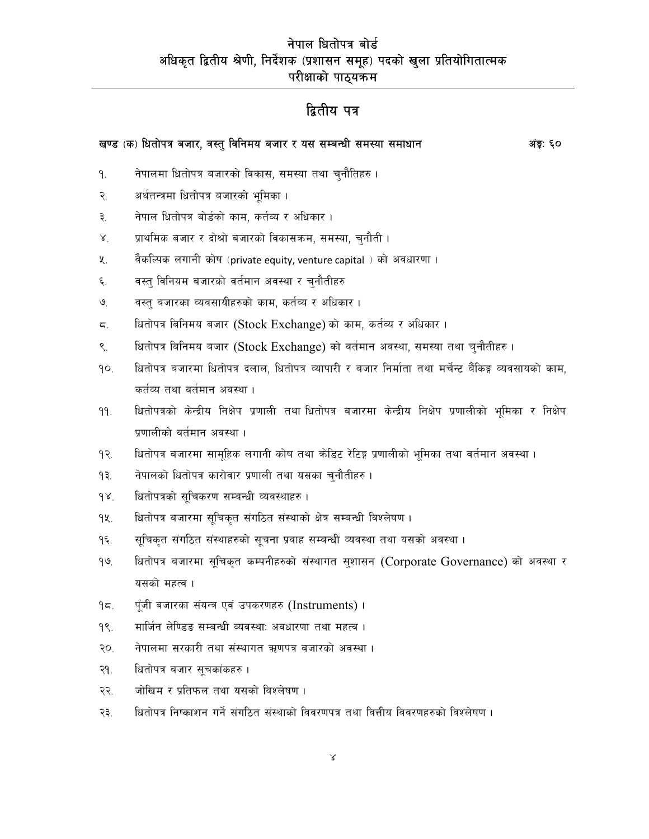# द्वितीय पत्र

| खण्ड (क) धितोपत्र बजार, वस्तु विनिमय बजार र यस सम्बन्धी समस्या समाधान |                                                                                                       | अंङ्ग: ६० |
|-----------------------------------------------------------------------|-------------------------------------------------------------------------------------------------------|-----------|
| ٩.                                                                    | नेपालमा धितोपत्र बजारको विकास, समस्या तथा चुनौतिहरु ।                                                 |           |
| २.                                                                    | अर्थतन्त्रमा धितोपत्र बजारको भूमिका ।                                                                 |           |
| ३.                                                                    | नेपाल धितोपत्र बोर्डको काम, कर्तव्य र अधिकार ।                                                        |           |
| $\lambda^{\cdot}$                                                     | प्राथमिक बजार र दोश्रो बजारको विकासक्रम, समस्या, चुनौती ।                                             |           |
| 义.                                                                    | वैकल्पिक लगानी कोष (private equity, venture capital ) को अवधारणा ।                                    |           |
| ६.                                                                    | वस्त् विनियम बजारको वर्तमान अवस्था र चुनौतीहरु                                                        |           |
| $\mathcal{O}_{\cdot}$                                                 | वस्त् बजारका व्यवसायीहरुको काम, कर्तव्य र अधिकार ।                                                    |           |
| ζ.                                                                    | धितोपत्र बिनिमय बजार (Stock Exchange) को काम, कर्तव्य र अधिकार ।                                      |           |
| $\mathcal{S}$ .                                                       | धितोपत्र बिनिमय बजार (Stock Exchange) को वर्तमान अवस्था, समस्या तथा चुनौतीहरु ।                       |           |
| qo.                                                                   | धितोपत्र बजारमा धितोपत्र दलाल, धितोपत्र व्यापारी र बजार निर्माता तथा मर्चेन्ट बैंकिङ्ग व्यवसायको काम, |           |
|                                                                       | कर्तव्य तथा वर्तमान अवस्था ।                                                                          |           |
| ۹۹.                                                                   | धितोपत्रको केन्द्रीय निक्षेप प्रणाली तथा धितोपत्र बजारमा केन्द्रीय निक्षेप प्रणालीको भूमिका र निक्षेप |           |
|                                                                       | प्रणालीको वर्तमान अवस्था ।                                                                            |           |
| १२.                                                                   | धितोपत्र बजारमा सामूहिक लगानी कोष तथा कोडिट रेटिङ्ग प्रणालीको भूमिका तथा वर्तमान अवस्था ।             |           |
| ۹₹.                                                                   | नेपालको धितोपत्र कारोवार प्रणाली तथा यसका चुनौतीहरु ।                                                 |           |
| $\delta$                                                              | धितोपत्रको सूचिकरण सम्बन्धी व्यवस्थाहरु ।                                                             |           |
| 94.                                                                   | धितोपत्र बजारमा सूचिकृत संगठित संस्थाको क्षेत्र सम्बन्धी विश्लेषण ।                                   |           |

- सूचिकृत संगठित संस्थाहरुको सूचना प्रवाह सम्बन्धी व्यवस्था तथा यसको अवस्था ।  $9\xi$ .
- धितोपत्र बजारमा सूचिकृत कम्पनीहरुको संस्थागत सुशासन (Corporate Governance) को अवस्था र  $99.$ यसको महत्व ।
- पूँजी बजारका संयन्त्र एवं उपकरणहरु (Instruments)।  $95.$
- मार्जिन लेण्डिङ सम्बन्धी व्यवस्थाः अवधारणा तथा महत्व ।  $98.$
- नेपालमा सरकारी तथा संस्थागत ऋणपत्र बजारको अवस्था। २०.
- धितोपत्र बजार सूचकांकहरु । २१.
- जोखिम र प्रतिफल तथा यसको विश्लेषण। २२.
- २३. धितोपत्र निष्काशन गर्ने संगठित संस्थाको विवरणपत्र तथा वित्तीय विवरणहरुको विश्लेषण ।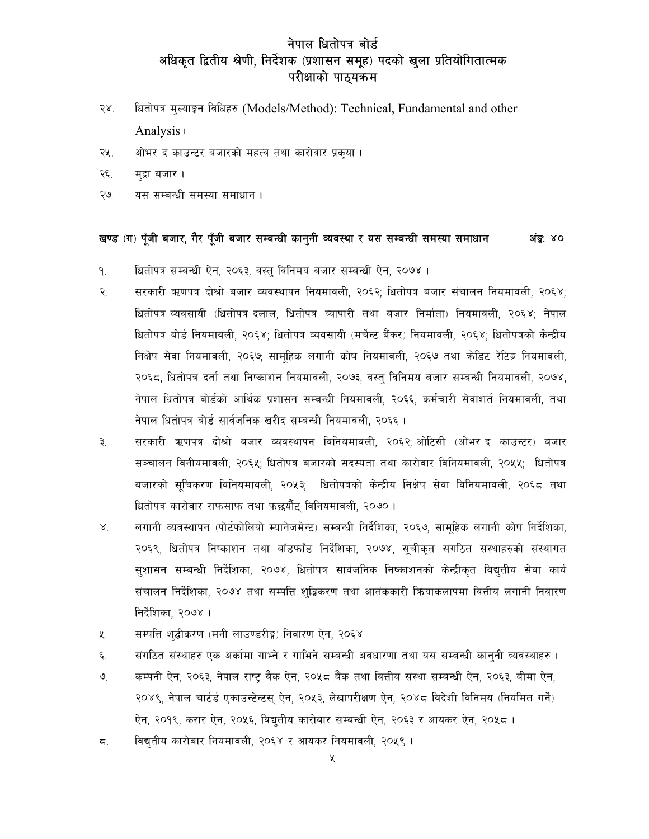- धितोपत्र मल्याङ्गन विधिहरु (Models/Method): Technical, Fundamental and other  $58<sup>7</sup>$ Analysis (
- ओभर द काउन्टर बजारको महत्व तथा कारोवार प्रकुया। २५.
- २६. मद्रा बजार।
- ২७ यस सम्बन्धी समस्या समाधान।

#### खण्ड (ग) पूँजी बजार, गैर पूँजी बजार सम्बन्धी कानुनी व्यवस्था र यस सम्बन्धी समस्या समाधान अंड: ४०

- धितोपत्र सम्बन्धी ऐन, २०६३, वस्तु विनिमय बजार सम्बन्धी ऐन, २०७४।  $9.$
- २. सरकारी ऋणपत्र दोश्रो बजार व्यवस्थापन नियमावली, २०६२; धितोपत्र बजार संचालन नियमावली, २०६४; धितोपत्र व्यवसायी (धितोपत्र दलाल, धितोपत्र व्यापारी तथा बजार निर्माता) नियमावली, २०६४; नेपाल धितोपत्र बोर्ड नियमावली, २०६४; धितोपत्र व्यवसायी (मर्चेन्ट बैंकर) नियमावली, २०६४; धितोपत्रको केन्द्रीय निक्षेप सेवा नियमावली. २०६७: सामहिक लगानी कोष नियमावली. २०६७ तथा कोडिट रेटिङ्ग नियमावली. २०६८, धितोपत्र दर्ता तथा निष्काशन नियमावली, २०७३, वस्तु विनिमय बजार सम्बन्धी नियमावली, २०७४, नेपाल धितोपत्र बोर्डको आर्थिक प्रशासन सम्बन्धी नियमावली, २०६६, कर्मचारी सेवाशर्त नियमावली, तथा नेपाल धितोपत्र बोर्ड सार्वजनिक खरीद सम्बन्धी नियमावली, २०६६।
- ₹. सरकारी ऋणपत्र दोश्रो बजार व्यवस्थापन विनियमावली, २०६२; ओटिसी (ओभर द काउन्टर) बजार सञ्चालन विनीयमावली, २०६५; धितोपत्र बजारको सदस्यता तथा कारोवार विनियमावली, २०५५; धितोपत्र बजारको सचिकरण विनियमावली. २०५३: धितोपत्रको केन्द्रीय निक्षेप सेवा विनियमावली. २०६८ तथा धितोपत्र कारोवार राफसाफ तथा फछर्यौट् विनियमावली, २०७०।
- $X^{\dagger}$ लगानी व्यवस्थापन (पोर्टफोलियो म्यानेजमेन्ट) सम्बन्धी निर्देशिका, २०६७, सामुहिक लगानी कोष निर्देशिका, २०६९, धितोपत्र निष्काशन तथा बाँडफाँड निर्देशिका, २०७४, सुचीकृत संगठित संस्थाहरुको संस्थागत सुशासन सम्बन्धी निर्देशिका, २०७४, धितोपत्र सार्वजनिक निष्काशनको केन्द्रीकृत विद्युतीय सेवा कार्य संचालन निर्देशिका, २०७४ तथा सम्पत्ति शुद्धिकरण तथा आतंककारी क्रियाकलापमा वित्तीय लगानी निवारण निर्देशिका, २०७४ ।
- सम्पत्ति शृद्धीकरण (मनी लाउण्डरीङ्ग) निवारण ऐन, २०६४  $\lambda$ .
- ६. संगठित संस्थाहरु एक अर्कामा गाभ्ने र गाभिने सम्बन्धी अवधारणा तथा यस सम्बन्धी काननी व्यवस्थाहरु।
- कम्पनी ऐन, २०६३, नेपाल राष्ट बैंक ऐन, २०५८ बैंक तथा वित्तीय संस्था सम्बन्धी ऐन, २०६३, बीमा ऐन,  $\mathcal{Q}_1$ २०४९, नेपाल चार्टर्ड एकाउन्टेन्टस् ऐन, २०५३, लेखापरीक्षण ऐन, २०४८ विदेशी विनिमय (नियमित गर्ने) ऐन, २०१९, करार ऐन, २०५६, विद्युतीय कारोबार सम्बन्धी ऐन, २०६३ र आयकर ऐन, २०५८ ।
- विद्यतीय कारोबार नियमावली, २०६४ र आयकर नियमावली, २०५९ ।  $5.$